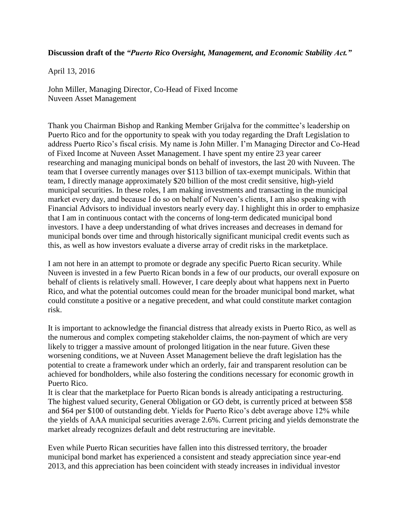**Discussion draft of the** *"Puerto Rico Oversight, Management, and Economic Stability Act."*

April 13, 2016

John Miller, Managing Director, Co-Head of Fixed Income Nuveen Asset Management

Thank you Chairman Bishop and Ranking Member Grijalva for the committee's leadership on Puerto Rico and for the opportunity to speak with you today regarding the Draft Legislation to address Puerto Rico's fiscal crisis. My name is John Miller. I'm Managing Director and Co-Head of Fixed Income at Nuveen Asset Management. I have spent my entire 23 year career researching and managing municipal bonds on behalf of investors, the last 20 with Nuveen. The team that I oversee currently manages over \$113 billion of tax-exempt municipals. Within that team, I directly manage approximately \$20 billion of the most credit sensitive, high-yield municipal securities. In these roles, I am making investments and transacting in the municipal market every day, and because I do so on behalf of Nuveen's clients, I am also speaking with Financial Advisors to individual investors nearly every day. I highlight this in order to emphasize that I am in continuous contact with the concerns of long-term dedicated municipal bond investors. I have a deep understanding of what drives increases and decreases in demand for municipal bonds over time and through historically significant municipal credit events such as this, as well as how investors evaluate a diverse array of credit risks in the marketplace.

I am not here in an attempt to promote or degrade any specific Puerto Rican security. While Nuveen is invested in a few Puerto Rican bonds in a few of our products, our overall exposure on behalf of clients is relatively small. However, I care deeply about what happens next in Puerto Rico, and what the potential outcomes could mean for the broader municipal bond market, what could constitute a positive or a negative precedent, and what could constitute market contagion risk.

It is important to acknowledge the financial distress that already exists in Puerto Rico, as well as the numerous and complex competing stakeholder claims, the non-payment of which are very likely to trigger a massive amount of prolonged litigation in the near future. Given these worsening conditions, we at Nuveen Asset Management believe the draft legislation has the potential to create a framework under which an orderly, fair and transparent resolution can be achieved for bondholders, while also fostering the conditions necessary for economic growth in Puerto Rico.

It is clear that the marketplace for Puerto Rican bonds is already anticipating a restructuring. The highest valued security, General Obligation or GO debt, is currently priced at between \$58 and \$64 per \$100 of outstanding debt. Yields for Puerto Rico's debt average above 12% while the yields of AAA municipal securities average 2.6%. Current pricing and yields demonstrate the market already recognizes default and debt restructuring are inevitable.

Even while Puerto Rican securities have fallen into this distressed territory, the broader municipal bond market has experienced a consistent and steady appreciation since year-end 2013, and this appreciation has been coincident with steady increases in individual investor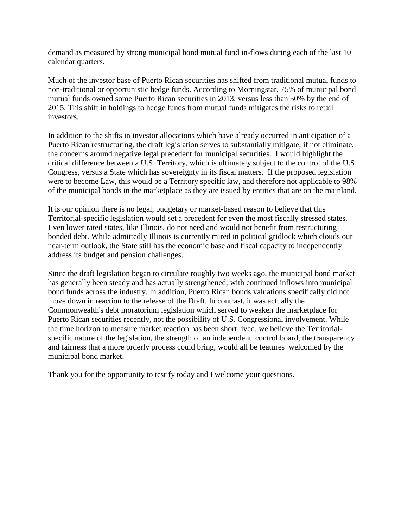demand as measured by strong municipal bond mutual fund in-flows during each of the last 10 calendar quarters.

Much of the investor base of Puerto Rican securities has shifted from traditional mutual funds to non-traditional or opportunistic hedge funds. According to Morningstar, 75% of municipal bond mutual funds owned some Puerto Rican securities in 2013, versus less than 50% by the end of 2015. This shift in holdings to hedge funds from mutual funds mitigates the risks to retail investors.

In addition to the shifts in investor allocations which have already occurred in anticipation of a Puerto Rican restructuring, the draft legislation serves to substantially mitigate, if not eliminate, the concerns around negative legal precedent for municipal securities. I would highlight the critical difference between a U.S. Territory, which is ultimately subject to the control of the U.S. Congress, versus a State which has sovereignty in its fiscal matters. If the proposed legislation were to become Law, this would be a Territory specific law, and therefore not applicable to 98% of the municipal bonds in the marketplace as they are issued by entities that are on the mainland.

It is our opinion there is no legal, budgetary or market-based reason to believe that this Territorial-specific legislation would set a precedent for even the most fiscally stressed states. Even lower rated states, like Illinois, do not need and would not benefit from restructuring bonded debt. While admittedly Illinois is currently mired in political gridlock which clouds our near-term outlook, the State still has the economic base and fiscal capacity to independently address its budget and pension challenges.

Since the draft legislation began to circulate roughly two weeks ago, the municipal bond market has generally been steady and has actually strengthened, with continued inflows into municipal bond funds across the industry. In addition, Puerto Rican bonds valuations specifically did not move down in reaction to the release of the Draft. In contrast, it was actually the Commonwealth's debt moratorium legislation which served to weaken the marketplace for Puerto Rican securities recently, not the possibility of U.S. Congressional involvement. While the time horizon to measure market reaction has been short lived, we believe the Territorialspecific nature of the legislation, the strength of an independent control board, the transparency and fairness that a more orderly process could bring, would all be features welcomed by the municipal bond market.

Thank you for the opportunity to testify today and I welcome your questions.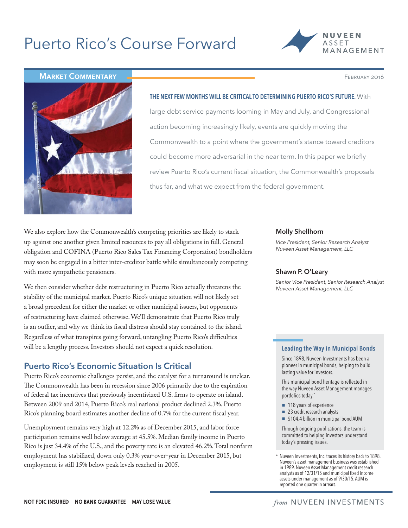# Puerto Rico's Course Forward



**MARKET COMMENTARY FEBRUARY FOR A SUBSET OF A SECOND PROPERTY 2016** 



THE NEXT FEW MONTHS WILL BE CRITICAL TO DETERMINING PUERTO RICO'S FUTURE. With large debt service payments looming in May and July, and Congressional action becoming increasingly likely, events are quickly moving the Commonwealth to a point where the government's stance toward creditors could become more adversarial in the near term. In this paper we briefly review Puerto Rico's current fiscal situation, the Commonwealth's proposals thus far, and what we expect from the federal government.

We also explore how the Commonwealth's competing priorities are likely to stack up against one another given limited resources to pay all obligations in full. General obligation and COFINA (Puerto Rico Sales Tax Financing Corporation) bondholders may soon be engaged in a bitter inter-creditor battle while simultaneously competing with more sympathetic pensioners.

We then consider whether debt restructuring in Puerto Rico actually threatens the stability of the municipal market. Puerto Rico's unique situation will not likely set a broad precedent for either the market or other municipal issuers, but opponents of restructuring have claimed otherwise. We'll demonstrate that Puerto Rico truly is an outlier, and why we think its fiscal distress should stay contained to the island. Regardless of what transpires going forward, untangling Puerto Rico's difficulties will be a lengthy process. Investors should not expect a quick resolution.

# Puerto Rico's Economic Situation Is Critical

Puerto Rico's economic challenges persist, and the catalyst for a turnaround is unclear. The Commonwealth has been in recession since 2006 primarily due to the expiration of federal tax incentives that previously incentivized U.S. firms to operate on island. Between 2009 and 2014, Puerto Rico's real national product declined 2.3%. Puerto Rico's planning board estimates another decline of 0.7% for the current fiscal year.

Unemployment remains very high at 12.2% as of December 2015, and labor force participation remains well below average at 45.5%. Median family income in Puerto Rico is just 34.4% of the U.S., and the poverty rate is an elevated 46.2%. Total nonfarm employment has stabilized, down only 0.3% year-over-year in December 2015, but employment is still 15% below peak levels reached in 2005.

## Molly Shellhorn

*Vice President, Senior Research Analyst Nuveen Asset Management, LLC*

## Shawn P. O'Leary

*Senior Vice President, Senior Research Analyst Nuveen Asset Management, LLC*

## Leading the Way in Municipal Bonds

Since 1898, Nuveen Investments has been a pioneer in municipal bonds, helping to build lasting value for investors.

This municipal bond heritage is reflected in the way Nuveen Asset Management manages portfolios today.\*

- 118 years of experience
- 23 credit research analysts
- **▪** \$104.4 billion in municipal bond AUM

Through ongoing publications, the team is committed to helping investors understand today's pressing issues.

\* Nuveen Investments, Inc. traces its history back to 1898. Nuveen's asset management business was established in 1989. Nuveen Asset Management credit research analysts as of 12/31/15 and municipal fixed income assets under management as of 9/30/15. AUM is reported one quarter in arrears.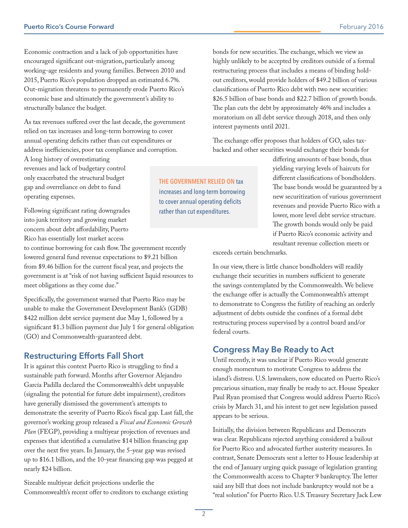Economic contraction and a lack of job opportunities have encouraged significant out-migration, particularly among working-age residents and young families. Between 2010 and 2015, Puerto Rico's population dropped an estimated 6.7%. Out-migration threatens to permanently erode Puerto Rico's economic base and ultimately the government's ability to structurally balance the budget.

As tax revenues suffered over the last decade, the government relied on tax increases and long-term borrowing to cover annual operating deficits rather than cut expenditures or address inefficiencies, poor tax compliance and corruption.

A long history of overestimating revenues and lack of budgetary control only exacerbated the structural budget gap and overreliance on debt to fund operating expenses.

Following significant rating downgrades into junk territory and growing market concern about debt affordability, Puerto Rico has essentially lost market access

to continue borrowing for cash flow. The government recently lowered general fund revenue expectations to \$9.21 billion from \$9.46 billion for the current fiscal year, and projects the government is at "risk of not having sufficient liquid resources to meet obligations as they come due."

Specifically, the government warned that Puerto Rico may be unable to make the Government Development Bank's (GDB) \$422 million debt service payment due May 1, followed by a significant \$1.3 billion payment due July 1 for general obligation (GO) and Commonwealth-guaranteed debt.

# Restructuring Efforts Fall Short

It is against this context Puerto Rico is struggling to find a sustainable path forward. Months after Governor Alejandro García Padilla declared the Commonwealth's debt unpayable (signaling the potential for future debt impairment), creditors have generally dismissed the government's attempts to demonstrate the severity of Puerto Rico's fiscal gap. Last fall, the governor's working group released a *Fiscal and Economic Growth Plan* (FEGP), providing a multiyear projection of revenues and expenses that identified a cumulative \$14 billion financing gap over the next five years. In January, the 5-year gap was revised up to \$16.1 billion, and the 10-year financing gap was pegged at nearly \$24 billion.

Sizeable multiyear deficit projections underlie the Commonwealth's recent offer to creditors to exchange existing

THE GOVERNMENT RELIED ON tax increases and long-term borrowing to cover annual operating deficits rather than cut expenditures.

bonds for new securities. The exchange, which we view as highly unlikely to be accepted by creditors outside of a formal restructuring process that includes a means of binding holdout creditors, would provide holders of \$49.2 billion of various classifications of Puerto Rico debt with two new securities: \$26.5 billion of base bonds and \$22.7 billion of growth bonds. The plan cuts the debt by approximately 46% and includes a moratorium on all debt service through 2018, and then only interest payments until 2021.

The exchange offer proposes that holders of GO, sales taxbacked and other securities would exchange their bonds for

> differing amounts of base bonds, thus yielding varying levels of haircuts for different classifications of bondholders. The base bonds would be guaranteed by a new securitization of various government revenues and provide Puerto Rico with a lower, more level debt service structure. The growth bonds would only be paid if Puerto Rico's economic activity and resultant revenue collection meets or

exceeds certain benchmarks.

In our view, there is little chance bondholders will readily exchange their securities in numbers sufficient to generate the savings contemplated by the Commonwealth. We believe the exchange offer is actually the Commonwealth's attempt to demonstrate to Congress the futility of reaching an orderly adjustment of debts outside the confines of a formal debt restructuring process supervised by a control board and/or federal courts.

# Congress May Be Ready to Act

Until recently, it was unclear if Puerto Rico would generate enough momentum to motivate Congress to address the island's distress. U.S. lawmakers, now educated on Puerto Rico's precarious situation, may finally be ready to act. House Speaker Paul Ryan promised that Congress would address Puerto Rico's crisis by March 31, and his intent to get new legislation passed appears to be serious.

Initially, the division between Republicans and Democrats was clear. Republicans rejected anything considered a bailout for Puerto Rico and advocated further austerity measures. In contrast, Senate Democrats sent a letter to House leadership at the end of January urging quick passage of legislation granting the Commonwealth access to Chapter 9 bankruptcy. The letter said any bill that does not include bankruptcy would not be a "real solution" for Puerto Rico. U.S. Treasury Secretary Jack Lew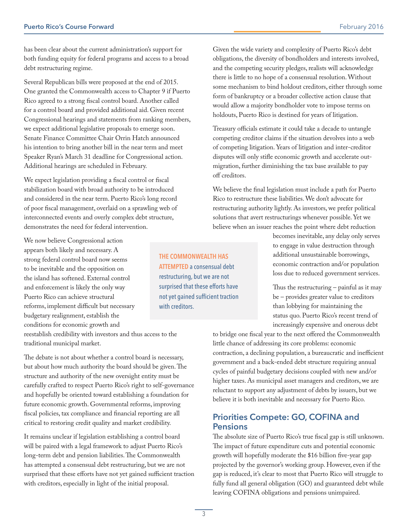has been clear about the current administration's support for both funding equity for federal programs and access to a broad debt restructuring regime.

Several Republican bills were proposed at the end of 2015. One granted the Commonwealth access to Chapter 9 if Puerto Rico agreed to a strong fiscal control board. Another called for a control board and provided additional aid. Given recent Congressional hearings and statements from ranking members, we expect additional legislative proposals to emerge soon. Senate Finance Committee Chair Orrin Hatch announced his intention to bring another bill in the near term and meet Speaker Ryan's March 31 deadline for Congressional action. Additional hearings are scheduled in February.

We expect legislation providing a fiscal control or fiscal stabilization board with broad authority to be introduced and considered in the near term. Puerto Rico's long record of poor fiscal management, overlaid on a sprawling web of interconnected events and overly complex debt structure, demonstrates the need for federal intervention.

We now believe Congressional action appears both likely and necessary. A strong federal control board now seems to be inevitable and the opposition on the island has softened. External control and enforcement is likely the only way Puerto Rico can achieve structural reforms, implement difficult but necessary budgetary realignment, establish the conditions for economic growth and

reestablish credibility with investors and thus access to the traditional municipal market.

The debate is not about whether a control board is necessary, but about how much authority the board should be given. The structure and authority of the new oversight entity must be carefully crafted to respect Puerto Rico's right to self-governance and hopefully be oriented toward establishing a foundation for future economic growth. Governmental reforms, improving fiscal policies, tax compliance and financial reporting are all critical to restoring credit quality and market credibility.

It remains unclear if legislation establishing a control board will be paired with a legal framework to adjust Puerto Rico's long-term debt and pension liabilities. The Commonwealth has attempted a consensual debt restructuring, but we are not surprised that these efforts have not yet gained sufficient traction with creditors, especially in light of the initial proposal.

Given the wide variety and complexity of Puerto Rico's debt obligations, the diversity of bondholders and interests involved, and the competing security pledges, realists will acknowledge there is little to no hope of a consensual resolution. Without some mechanism to bind holdout creditors, either through some form of bankruptcy or a broader collective action clause that would allow a majority bondholder vote to impose terms on holdouts, Puerto Rico is destined for years of litigation.

Treasury officials estimate it could take a decade to untangle competing creditor claims if the situation devolves into a web of competing litigation. Years of litigation and inter-creditor disputes will only stifle economic growth and accelerate outmigration, further diminishing the tax base available to pay off creditors.

We believe the final legislation must include a path for Puerto Rico to restructure these liabilities. We don't advocate for restructuring authority lightly. As investors, we prefer political solutions that avert restructurings whenever possible. Yet we believe when an issuer reaches the point where debt reduction

> becomes inevitable, any delay only serves to engage in value destruction through additional unsustainable borrowings, economic contraction and/or population loss due to reduced government services.

> Thus the restructuring – painful as it may be – provides greater value to creditors than lobbying for maintaining the status quo. Puerto Rico's recent trend of increasingly expensive and onerous debt

to bridge one fiscal year to the next offered the Commonwealth little chance of addressing its core problems: economic contraction, a declining population, a bureaucratic and inefficient government and a back-ended debt structure requiring annual cycles of painful budgetary decisions coupled with new and/or higher taxes. As municipal asset managers and creditors, we are reluctant to support any adjustment of debts by issuers, but we believe it is both inevitable and necessary for Puerto Rico.

# Priorities Compete: GO, COFINA and Pensions

The absolute size of Puerto Rico's true fiscal gap is still unknown. The impact of future expenditure cuts and potential economic growth will hopefully moderate the \$16 billion five-year gap projected by the governor's working group. However, even if the gap is reduced, it's clear to most that Puerto Rico will struggle to fully fund all general obligation (GO) and guaranteed debt while leaving COFINA obligations and pensions unimpaired.

THE COMMONWEALTH HAS ATTEMPTED a consensual debt restructuring, but we are not surprised that these efforts have not yet gained sufficient traction with creditors.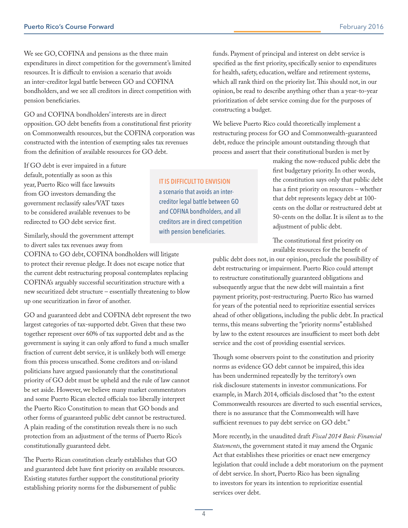We see GO, COFINA and pensions as the three main expenditures in direct competition for the government's limited resources. It is difficult to envision a scenario that avoids an inter-creditor legal battle between GO and COFINA bondholders, and we see all creditors in direct competition with pension beneficiaries.

GO and COFINA bondholders' interests are in direct opposition. GO debt benefits from a constitutional first priority on Commonwealth resources, but the COFINA corporation was constructed with the intention of exempting sales tax revenues from the definition of available resources for GO debt.

If GO debt is ever impaired in a future default, potentially as soon as this year, Puerto Rico will face lawsuits from GO investors demanding the government reclassify sales/VAT taxes to be considered available revenues to be redirected to GO debt service first.

Similarly, should the government attempt to divert sales tax revenues away from

COFINA to GO debt, COFINA bondholders will litigate to protect their revenue pledge. It does not escape notice that the current debt restructuring proposal contemplates replacing COFINA's arguably successful securitization structure with a new securitized debt structure – essentially threatening to blow up one securitization in favor of another.

GO and guaranteed debt and COFINA debt represent the two largest categories of tax-supported debt. Given that these two together represent over 60% of tax supported debt and as the government is saying it can only afford to fund a much smaller fraction of current debt service, it is unlikely both will emerge from this process unscathed. Some creditors and on-island politicians have argued passionately that the constitutional priority of GO debt must be upheld and the rule of law cannot be set aside. However, we believe many market commentators and some Puerto Rican elected officials too liberally interpret the Puerto Rico Constitution to mean that GO bonds and other forms of guaranteed public debt cannot be restructured. A plain reading of the constitution reveals there is no such protection from an adjustment of the terms of Puerto Rico's constitutionally guaranteed debt.

The Puerto Rican constitution clearly establishes that GO and guaranteed debt have first priority on available resources. Existing statutes further support the constitutional priority establishing priority norms for the disbursement of public

funds. Payment of principal and interest on debt service is specified as the first priority, specifically senior to expenditures for health, safety, education, welfare and retirement systems, which all rank third on the priority list. This should not, in our opinion, be read to describe anything other than a year-to-year prioritization of debt service coming due for the purposes of constructing a budget.

We believe Puerto Rico could theoretically implement a restructuring process for GO and Commonwealth-guaranteed debt, reduce the principle amount outstanding through that process and assert that their constitutional burden is met by

> making the now-reduced public debt the first budgetary priority. In other words, the constitution says only that public debt has a first priority on resources – whether that debt represents legacy debt at 100 cents on the dollar or restructured debt at 50-cents on the dollar. It is silent as to the adjustment of public debt.

The constitutional first priority on available resources for the benefit of

public debt does not, in our opinion, preclude the possibility of debt restructuring or impairment. Puerto Rico could attempt to restructure constitutionally guaranteed obligations and subsequently argue that the new debt will maintain a first payment priority, post-restructuring. Puerto Rico has warned for years of the potential need to reprioritize essential services ahead of other obligations, including the public debt. In practical terms, this means subverting the "priority norms" established by law to the extent resources are insufficient to meet both debt service and the cost of providing essential services.

Though some observers point to the constitution and priority norms as evidence GO debt cannot be impaired, this idea has been undermined repeatedly by the territory's own risk disclosure statements in investor communications. For example, in March 2014, officials disclosed that "to the extent Commonwealth resources are diverted to such essential services, there is no assurance that the Commonwealth will have sufficient revenues to pay debt service on GO debt."

More recently, in the unaudited draft *Fiscal 2014 Basic Financial Statements*, the government stated it may amend the Organic Act that establishes these priorities or enact new emergency legislation that could include a debt moratorium on the payment of debt service. In short, Puerto Rico has been signaling to investors for years its intention to reprioritize essential services over debt.

IT IS DIFFICULT TO ENVISION a scenario that avoids an intercreditor legal battle between GO and COFINA bondholders, and all creditors are in direct competition with pension beneficiaries.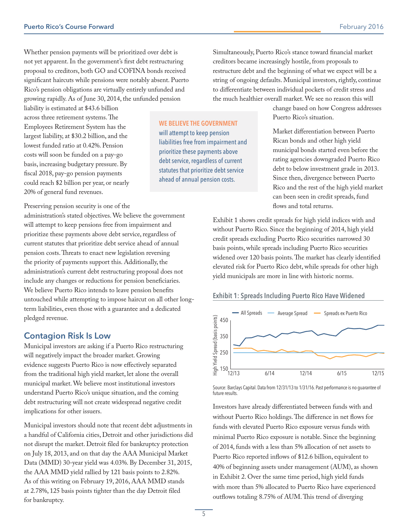Whether pension payments will be prioritized over debt is not yet apparent. In the government's first debt restructuring proposal to creditors, both GO and COFINA bonds received significant haircuts while pensions were notably absent. Puerto Rico's pension obligations are virtually entirely unfunded and growing rapidly. As of June 30, 2014, the unfunded pension

liability is estimated at \$43.6 billion across three retirement systems. The Employees Retirement System has the largest liability, at \$30.2 billion, and the lowest funded ratio at 0.42%. Pension costs will soon be funded on a pay-go basis, increasing budgetary pressure. By fiscal 2018, pay-go pension payments could reach \$2 billion per year, or nearly 20% of general fund revenues.

Preserving pension security is one of the

administration's stated objectives. We believe the government will attempt to keep pensions free from impairment and prioritize these payments above debt service, regardless of current statutes that prioritize debt service ahead of annual pension costs. Threats to enact new legislation reversing the priority of payments support this. Additionally, the administration's current debt restructuring proposal does not include any changes or reductions for pension beneficiaries. We believe Puerto Rico intends to leave pension benefits untouched while attempting to impose haircut on all other longterm liabilities, even those with a guarantee and a dedicated pledged revenue.

## Contagion Risk Is Low

Municipal investors are asking if a Puerto Rico restructuring will negatively impact the broader market. Growing evidence suggests Puerto Rico is now effectively separated from the traditional high yield market, let alone the overall municipal market. We believe most institutional investors understand Puerto Rico's unique situation, and the coming debt restructuring will not create widespread negative credit implications for other issuers.

Municipal investors should note that recent debt adjustments in a handful of California cities, Detroit and other jurisdictions did not disrupt the market. Detroit filed for bankruptcy protection on July 18, 2013, and on that day the AAA Municipal Market Data (MMD) 30-year yield was 4.03%. By December 31, 2015, the AAA MMD yield rallied by 121 basis points to 2.82%. As of this writing on February 19, 2016, AAA MMD stands at 2.78%, 125 basis points tighter than the day Detroit filed for bankruptcy.

WE BELIEVE THE GOVERNMENT will attempt to keep pension liabilities free from impairment and prioritize these payments above debt service, regardless of current statutes that prioritize debt service ahead of annual pension costs.

Simultaneously, Puerto Rico's stance toward financial market creditors became increasingly hostile, from proposals to restructure debt and the beginning of what we expect will be a string of ongoing defaults. Municipal investors, rightly, continue to differentiate between individual pockets of credit stress and the much healthier overall market. We see no reason this will

> change based on how Congress addresses Puerto Rico's situation.

Market differentiation between Puerto Rican bonds and other high yield municipal bonds started even before the rating agencies downgraded Puerto Rico debt to below investment grade in 2013. Since then, divergence between Puerto Rico and the rest of the high yield market can been seen in credit spreads, fund flows and total returns.

Exhibit 1 shows credit spreads for high yield indices with and without Puerto Rico. Since the beginning of 2014, high yield credit spreads excluding Puerto Rico securities narrowed 30 basis points, while spreads including Puerto Rico securities widened over 120 basis points. The market has clearly identified elevated risk for Puerto Rico debt, while spreads for other high yield municipals are more in line with historic norms.

#### Exhibit 1: Spreads Including Puerto Rico Have Widened



Source: Barclays Capital. Data from 12/31/13 to 1/31/16. Past performance is no guarantee of future results.

Investors have already differentiated between funds with and without Puerto Rico holdings. The difference in net flows for funds with elevated Puerto Rico exposure versus funds with minimal Puerto Rico exposure is notable. Since the beginning of 2014, funds with a less than 5% allocation of net assets to Puerto Rico reported inflows of \$12.6 billion, equivalent to 40% of beginning assets under management (AUM), as shown in Exhibit 2. Over the same time period, high yield funds with more than 5% allocated to Puerto Rico have experienced outflows totaling 8.75% of AUM. This trend of diverging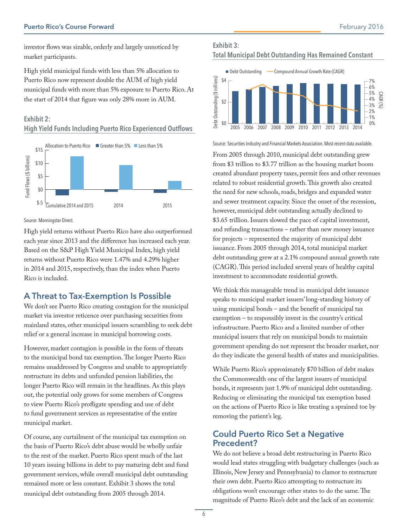investor flows was sizable, orderly and largely unnoticed by market participants.

High yield municipal funds with less than 5% allocation to Puerto Rico now represent double the AUM of high yield municipal funds with more than 5% exposure to Puerto Rico. At the start of 2014 that figure was only 28% more in AUM.

## Exhibit 2: High Yield Funds Including Puerto Rico Experienced Outflows



#### Source: Morningstar Direct.

High yield returns without Puerto Rico have also outperformed each year since 2013 and the difference has increased each year. Based on the S&P High Yield Municipal Index, high yield returns without Puerto Rico were 1.47% and 4.29% higher in 2014 and 2015, respectively, than the index when Puerto Rico is included.

# A Threat to Tax-Exemption Is Possible

We don't see Puerto Rico creating contagion for the municipal market via investor reticence over purchasing securities from mainland states, other municipal issuers scrambling to seek debt relief or a general increase in municipal borrowing costs.

However, market contagion is possible in the form of threats to the municipal bond tax exemption. The longer Puerto Rico remains unaddressed by Congress and unable to appropriately restructure its debts and unfunded pension liabilities, the longer Puerto Rico will remain in the headlines. As this plays out, the potential only grows for some members of Congress to view Puerto Rico's profligate spending and use of debt to fund government services as representative of the entire municipal market.

Of course, any curtailment of the municipal tax exemption on the basis of Puerto Rico's debt abuse would be wholly unfair to the rest of the market. Puerto Rico spent much of the last 10 years issuing billions in debt to pay maturing debt and fund government services, while overall municipal debt outstanding remained more or less constant. Exhibit 3 shows the total municipal debt outstanding from 2005 through 2014.





Source: Securities Industry and Financial Markets Association. Most recent data available.

From 2005 through 2010, municipal debt outstanding grew from \$3 trillion to \$3.77 trillion as the housing market boom created abundant property taxes, permit fees and other revenues related to robust residential growth. This growth also created the need for new schools, roads, bridges and expanded water and sewer treatment capacity. Since the onset of the recession, however, municipal debt outstanding actually declined to \$3.65 trillion. Issuers slowed the pace of capital investment, and refunding transactions – rather than new money issuance for projects – represented the majority of municipal debt issuance. From 2005 through 2014, total municipal market debt outstanding grew at a 2.1% compound annual growth rate (CAGR). This period included several years of healthy capital investment to accommodate residential growth.

We think this manageable trend in municipal debt issuance speaks to municipal market issuers' long-standing history of using municipal bonds – and the benefit of municipal tax exemption – to responsibly invest in the country's critical infrastructure. Puerto Rico and a limited number of other municipal issuers that rely on municipal bonds to maintain government spending do not represent the broader market, nor do they indicate the general health of states and municipalities.

While Puerto Rico's approximately \$70 billion of debt makes the Commonwealth one of the largest issuers of municipal bonds, it represents just 1.9% of municipal debt outstanding. Reducing or eliminating the municipal tax exemption based on the actions of Puerto Rico is like treating a sprained toe by removing the patient's leg.

# Could Puerto Rico Set a Negative Precedent?

We do not believe a broad debt restructuring in Puerto Rico would lead states struggling with budgetary challenges (such as Illinois, New Jersey and Pennsylvania) to clamor to restructure their own debt. Puerto Rico attempting to restructure its obligations won't encourage other states to do the same. The magnitude of Puerto Rico's debt and the lack of an economic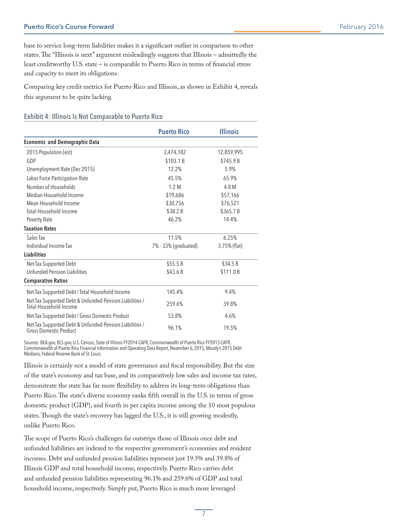base to service long-term liabilities makes it a significant outlier in comparison to other states. The "Illinois is next" argument misleadingly suggests that Illinois – admittedly the least creditworthy U.S. state – is comparable to Puerto Rico in terms of financial stress and capacity to meet its obligations.

Comparing key credit metrics for Puerto Rico and Illinois, as shown in Exhibit 4, reveals this argument to be quite lacking.

Exhibit 4: Illinois Is Not Comparable to Puerto Rico

|                                                                                          | <b>Puerto Rico</b>   | <b>Illinois</b> |
|------------------------------------------------------------------------------------------|----------------------|-----------------|
| <b>Economic and Demographic Data</b>                                                     |                      |                 |
| 2015 Population (est)                                                                    | 3,474,182            | 12,859,995      |
| GDP                                                                                      | \$103.1B             | \$745.9 B       |
| Unemployment Rate (Dec 2015)                                                             | 12.2%                | 5.9%            |
| Labor Force Participation Rate                                                           | 45.5%                | 65.9%           |
| Number of Households                                                                     | 1.2 M                | 4.8 M           |
| Median Household Income                                                                  | \$19,686             | \$57,166        |
| Mean Household Income                                                                    | \$30,756             | \$76,521        |
| <b>Total Household Income</b>                                                            | \$38.2 B             | \$365.7B        |
| Poverty Rate                                                                             | 46.2%                | 14.4%           |
| <b>Taxation Rates</b>                                                                    |                      |                 |
| Sales Tax                                                                                | 11.5%                | 6.25%           |
| Individual Income Tax                                                                    | 7% - 33% (graduated) | 3.75% (flat)    |
| <b>Liabilities</b>                                                                       |                      |                 |
| Net Tax Supported Debt                                                                   | \$55.5B              | \$34.5 B        |
| <b>Unfunded Pension Liabilities</b>                                                      | \$43.6 B             | \$111.0 B       |
| <b>Comparative Ratios</b>                                                                |                      |                 |
| Net Tax Supported Debt / Total Household Income                                          | 145.4%               | 9.4%            |
| Net Tax Supported Debt & Unfunded Pension Liabilities /<br>Total Household Income        | 259.6%               | 39.8%           |
| Net Tax Supported Debt / Gross Domestic Product                                          | 53.8%                | 4.6%            |
| Net Tax Supported Debt & Unfunded Pension Liabilities /<br><b>Gross Domestic Product</b> | 96.1%                | 19.5%           |

Sources: BEA.gov, BLS.gov, U.S. Census, State of Illinois FY2014 CAFR, Commonwealth of Puerto Rico FY2013 CAFR, Commonwealth of Puerto Rico Financial Information and Operating Data Report, November 6, 2015, Moody's 2015 Debt Medians, Federal Reserve Bank of St. Louis.

Illinois is certainly not a model of state governance and fiscal responsibility. But the size of the state's economy and tax base, and its comparatively low sales and income tax rates, demonstrate the state has far more flexibility to address its long-term obligations than Puerto Rico. The state's diverse economy ranks fifth overall in the U.S. in terms of gross domestic product (GDP), and fourth in per capita income among the 10 most populous states. Though the state's recovery has lagged the U.S., it is still growing modestly, unlike Puerto Rico.

The scope of Puerto Rico's challenges far outstrips those of Illinois once debt and unfunded liabilities are indexed to the respective government's economies and resident incomes. Debt and unfunded pension liabilities represent just 19.5% and 39.8% of Illinois GDP and total household income, respectively. Puerto Rico carries debt and unfunded pension liabilities representing 96.1% and 259.6% of GDP and total household income, respectively. Simply put, Puerto Rico is much more leveraged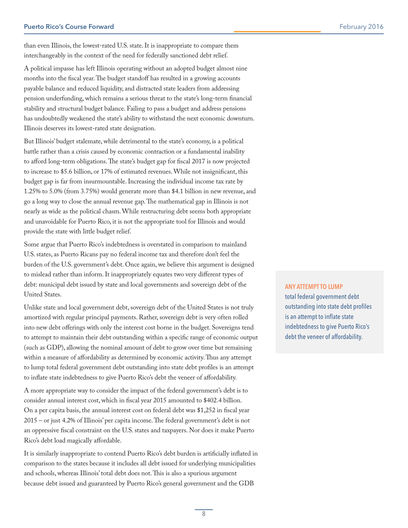than even Illinois, the lowest-rated U.S. state. It is inappropriate to compare them interchangeably in the context of the need for federally sanctioned debt relief.

A political impasse has left Illinois operating without an adopted budget almost nine months into the fiscal year. The budget standoff has resulted in a growing accounts payable balance and reduced liquidity, and distracted state leaders from addressing pension underfunding, which remains a serious threat to the state's long-term financial stability and structural budget balance. Failing to pass a budget and address pensions has undoubtedly weakened the state's ability to withstand the next economic downturn. Illinois deserves its lowest-rated state designation.

But Illinois' budget stalemate, while detrimental to the state's economy, is a political battle rather than a crisis caused by economic contraction or a fundamental inability to afford long-term obligations. The state's budget gap for fiscal 2017 is now projected to increase to \$5.6 billion, or 17% of estimated revenues. While not insignificant, this budget gap is far from insurmountable. Increasing the individual income tax rate by 1.25% to 5.0% (from 3.75%) would generate more than \$4.1 billion in new revenue, and go a long way to close the annual revenue gap. The mathematical gap in Illinois is not nearly as wide as the political chasm. While restructuring debt seems both appropriate and unavoidable for Puerto Rico, it is not the appropriate tool for Illinois and would provide the state with little budget relief.

Some argue that Puerto Rico's indebtedness is overstated in comparison to mainland U.S. states, as Puerto Ricans pay no federal income tax and therefore don't feel the burden of the U.S. government's debt. Once again, we believe this argument is designed to mislead rather than inform. It inappropriately equates two very different types of debt: municipal debt issued by state and local governments and sovereign debt of the United States.

Unlike state and local government debt, sovereign debt of the United States is not truly amortized with regular principal payments. Rather, sovereign debt is very often rolled into new debt offerings with only the interest cost borne in the budget. Sovereigns tend to attempt to maintain their debt outstanding within a specific range of economic output (such as GDP), allowing the nominal amount of debt to grow over time but remaining within a measure of affordability as determined by economic activity. Thus any attempt to lump total federal government debt outstanding into state debt profiles is an attempt to inflate state indebtedness to give Puerto Rico's debt the veneer of affordability.

A more appropriate way to consider the impact of the federal government's debt is to consider annual interest cost, which in fiscal year 2015 amounted to \$402.4 billion. On a per capita basis, the annual interest cost on federal debt was \$1,252 in fiscal year 2015 – or just 4.2% of Illinois' per capita income. The federal government's debt is not an oppressive fiscal constraint on the U.S. states and taxpayers. Nor does it make Puerto Rico's debt load magically affordable.

It is similarly inappropriate to contend Puerto Rico's debt burden is artificially inflated in comparison to the states because it includes all debt issued for underlying municipalities and schools, whereas Illinois' total debt does not. This is also a spurious argument because debt issued and guaranteed by Puerto Rico's general government and the GDB

#### ANY ATTEMPT TO LUMP

total federal government debt outstanding into state debt profiles is an attempt to inflate state indebtedness to give Puerto Rico's debt the veneer of affordability.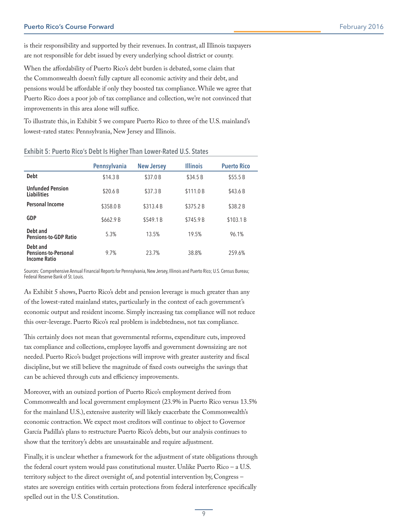is their responsibility and supported by their revenues. In contrast, all Illinois taxpayers are not responsible for debt issued by every underlying school district or county.

When the affordability of Puerto Rico's debt burden is debated, some claim that the Commonwealth doesn't fully capture all economic activity and their debt, and pensions would be affordable if only they boosted tax compliance. While we agree that Puerto Rico does a poor job of tax compliance and collection, we're not convinced that improvements in this area alone will suffice.

To illustrate this, in Exhibit 5 we compare Puerto Rico to three of the U.S. mainland's lowest-rated states: Pennsylvania, New Jersey and Illinois.

|                                                         | <b>Pennsylvania</b> | <b>New Jersey</b> | <b>Illinois</b> | <b>Puerto Rico</b> |
|---------------------------------------------------------|---------------------|-------------------|-----------------|--------------------|
| <b>Debt</b>                                             | \$14.3B             | \$37.0 B          | \$34.5 B        | \$55.5B            |
| <b>Unfunded Pension</b><br><b>Liabilities</b>           | \$20.6B             | \$37.3 B          | \$111.0 B       | \$43.6 B           |
| Personal Income                                         | \$358.0B            | \$313.4 B         | \$375.2 B       | \$38.2 B           |
| <b>GDP</b>                                              | \$662.9 B           | \$549.1 B         | \$745.9 B       | \$103.1 B          |
| Debt and<br><b>Pensions-to-GDP Ratio</b>                | 5.3%                | 13.5%             | 19.5%           | 96.1%              |
| Debt and<br>Pensions-to-Personal<br><b>Income Ratio</b> | 9.7%                | 23.7%             | 38.8%           | 259.6%             |

#### Exhibit 5: Puerto Rico's Debt Is Higher Than Lower-Rated U.S. States

Sources: Comprehensive Annual Financial Reports for Pennsylvania, New Jersey, Illinois and Puerto Rico; U.S. Census Bureau; Federal Reserve Bank of St. Louis.

As Exhibit 5 shows, Puerto Rico's debt and pension leverage is much greater than any of the lowest-rated mainland states, particularly in the context of each government's economic output and resident income. Simply increasing tax compliance will not reduce this over-leverage. Puerto Rico's real problem is indebtedness, not tax compliance.

This certainly does not mean that governmental reforms, expenditure cuts, improved tax compliance and collections, employee layoffs and government downsizing are not needed. Puerto Rico's budget projections will improve with greater austerity and fiscal discipline, but we still believe the magnitude of fixed costs outweighs the savings that can be achieved through cuts and efficiency improvements.

Moreover, with an outsized portion of Puerto Rico's employment derived from Commonwealth and local government employment (23.9% in Puerto Rico versus 13.5% for the mainland U.S.), extensive austerity will likely exacerbate the Commonwealth's economic contraction. We expect most creditors will continue to object to Governor García Padilla's plans to restructure Puerto Rico's debts, but our analysis continues to show that the territory's debts are unsustainable and require adjustment.

Finally, it is unclear whether a framework for the adjustment of state obligations through the federal court system would pass constitutional muster. Unlike Puerto Rico – a U.S. territory subject to the direct oversight of, and potential intervention by, Congress – states are sovereign entities with certain protections from federal interference specifically spelled out in the U.S. Constitution.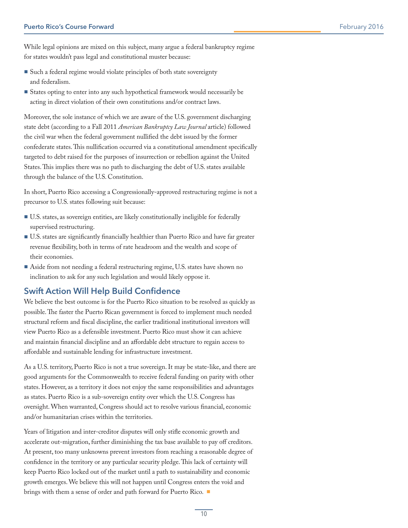While legal opinions are mixed on this subject, many argue a federal bankruptcy regime for states wouldn't pass legal and constitutional muster because:

- Such a federal regime would violate principles of both state sovereignty and federalism.
- States opting to enter into any such hypothetical framework would necessarily be acting in direct violation of their own constitutions and/or contract laws.

Moreover, the sole instance of which we are aware of the U.S. government discharging state debt (according to a Fall 2011 *American Bankruptcy Law Journal* article) followed the civil war when the federal government nullified the debt issued by the former confederate states. This nullification occurred via a constitutional amendment specifically targeted to debt raised for the purposes of insurrection or rebellion against the United States. This implies there was no path to discharging the debt of U.S. states available through the balance of the U.S. Constitution.

In short, Puerto Rico accessing a Congressionally-approved restructuring regime is not a precursor to U.S. states following suit because:

- **▪** U.S. states, as sovereign entities, are likely constitutionally ineligible for federally supervised restructuring.
- **▪** U.S. states are significantly financially healthier than Puerto Rico and have far greater revenue flexibility, both in terms of rate headroom and the wealth and scope of their economies.
- Aside from not needing a federal restructuring regime, U.S. states have shown no inclination to ask for any such legislation and would likely oppose it.

# Swift Action Will Help Build Confidence

We believe the best outcome is for the Puerto Rico situation to be resolved as quickly as possible. The faster the Puerto Rican government is forced to implement much needed structural reform and fiscal discipline, the earlier traditional institutional investors will view Puerto Rico as a defensible investment. Puerto Rico must show it can achieve and maintain financial discipline and an affordable debt structure to regain access to affordable and sustainable lending for infrastructure investment.

As a U.S. territory, Puerto Rico is not a true sovereign. It may be state-like, and there are good arguments for the Commonwealth to receive federal funding on parity with other states. However, as a territory it does not enjoy the same responsibilities and advantages as states. Puerto Rico is a sub-sovereign entity over which the U.S. Congress has oversight. When warranted, Congress should act to resolve various financial, economic and/or humanitarian crises within the territories.

Years of litigation and inter-creditor disputes will only stifle economic growth and accelerate out-migration, further diminishing the tax base available to pay off creditors. At present, too many unknowns prevent investors from reaching a reasonable degree of confidence in the territory or any particular security pledge. This lack of certainty will keep Puerto Rico locked out of the market until a path to sustainability and economic growth emerges. We believe this will not happen until Congress enters the void and brings with them a sense of order and path forward for Puerto Rico. ■